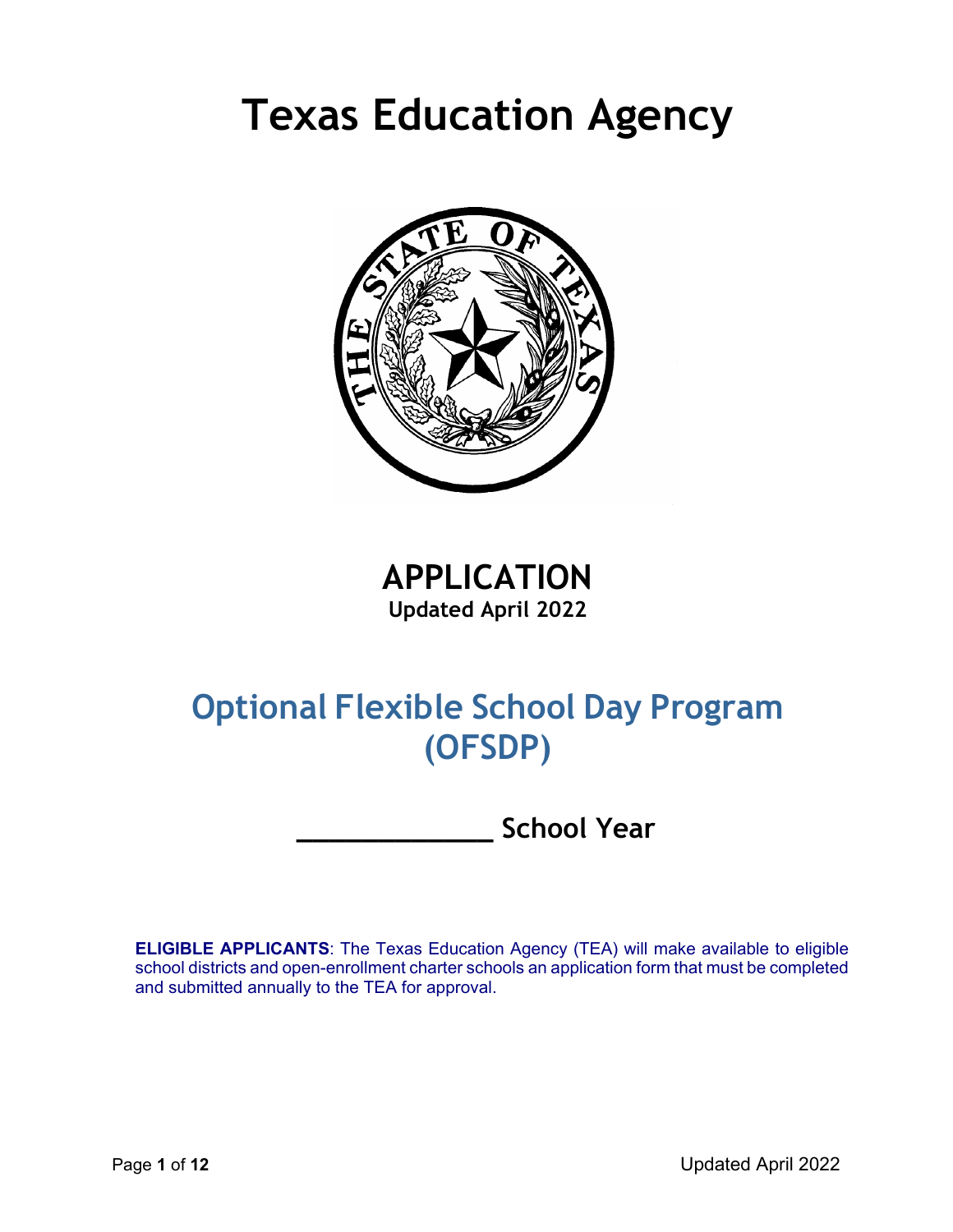# **Texas Education Agency**



**APPLICATION Updated April 2022**

## **Optional Flexible School Day Program (OFSDP)**

**\_\_\_\_\_\_\_\_\_\_\_\_ School Year**

**ELIGIBLE APPLICANTS**: The Texas Education Agency (TEA) will make available to eligible school districts and open-enrollment charter schools an application form that must be completed and submitted annually to the TEA for approval.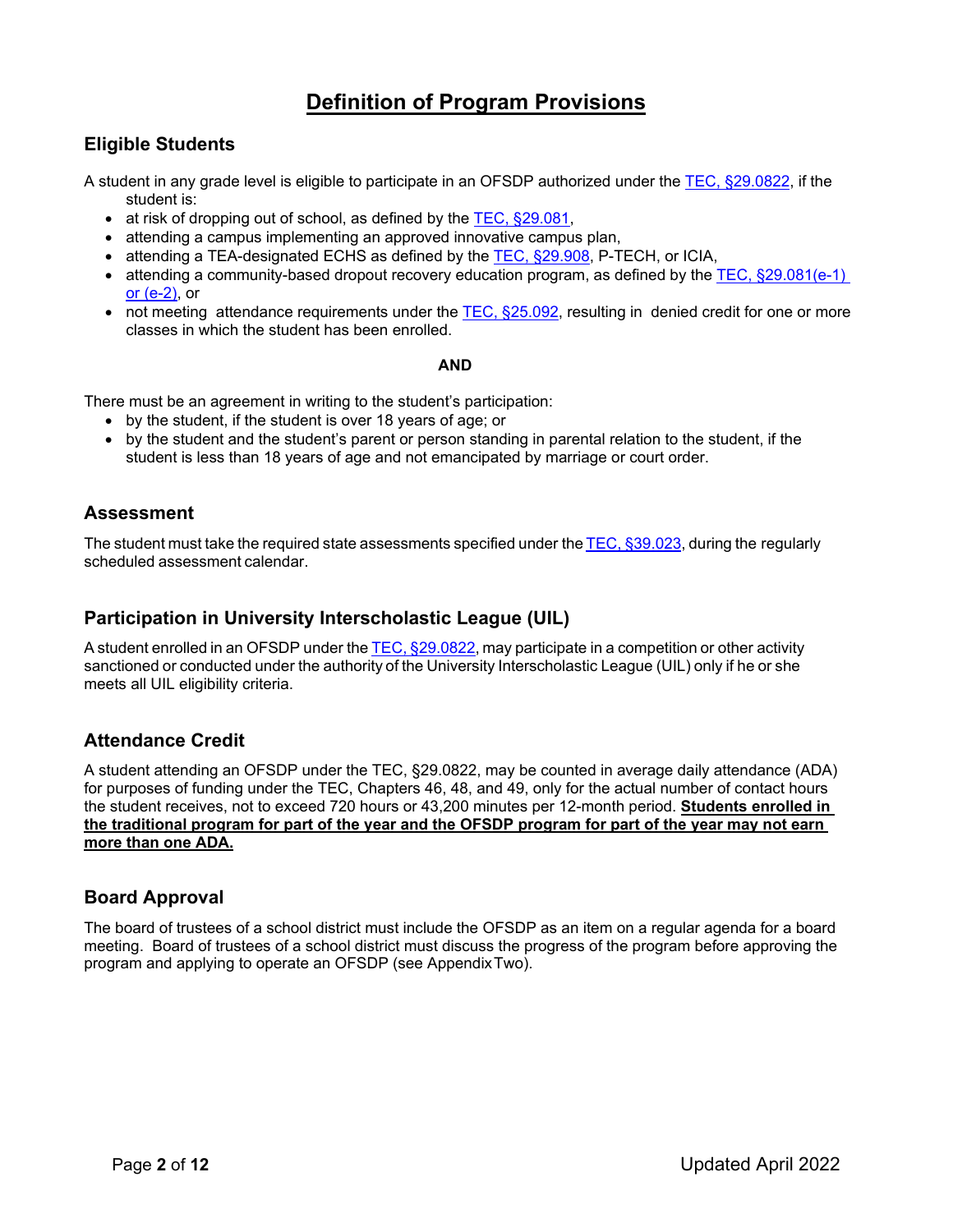## **Definition of Program Provisions**

#### **Eligible Students**

A student in any grade level is eligible to participate in an OFSDP authorized under the [TEC, §29.0822,](http://www.statutes.legis.state.tx.us/Docs/ED/htm/ED.29.htm#29.0822) if the student is:

- at risk of dropping out of school, as defined by the  $TEC$ ,  $\S29.081$ ,
- attending a campus implementing an approved innovative campus plan,
- attending a TEA-designated ECHS as defined by the TEC, \$29.908, P-TECH, or ICIA,
- attending a community-based dropout recovery education program, as defined by the TEC,  $\S29.081(e-1)$ [or \(e-2\),](https://statutes.capitol.texas.gov/SOTWDocs/ED/htm/ED.29.htm#29.081) or
- not meeting attendance requirements under the [TEC, §25.092,](https://statutes.capitol.texas.gov/Docs/ED/htm/ED.25.htm#25.092) resulting in denied credit for one or more classes in which the student has been enrolled.

#### **AND**

There must be an agreement in writing to the student's participation:

- by the student, if the student is over 18 years of age; or
- by the student and the student's parent or person standing in parental relation to the student, if the student is less than 18 years of age and not emancipated by marriage or court order.

#### **Assessment**

The student must take the required state assessments specified under the TEC, [§39.023,](https://statutes.capitol.texas.gov/Docs/ED/htm/ED.39.htm#39.023) during the regularly scheduled assessment calendar.

#### **Participation in University Interscholastic League (UIL)**

A student enrolled in an OFSDP under the TEC, [§29.0822,](https://statutes.capitol.texas.gov/Docs/ED/htm/ED.29.htm#29.0822) may participate in a competition or other activity sanctioned or conducted under the authority of the University Interscholastic League (UIL) only if he or she meets all UIL eligibility criteria.

#### **Attendance Credit**

A student attending an OFSDP under the TEC, §29.0822, may be counted in average daily attendance (ADA) for purposes of funding under the TEC, Chapters 46, 48, and 49, only for the actual number of contact hours the student receives, not to exceed 720 hours or 43,200 minutes per 12-month period. **Students enrolled in the traditional program for part of the year and the OFSDP program for part of the year may not earn more than one ADA.**

#### **Board Approval**

The board of trustees of a school district must include the OFSDP as an item on a regular agenda for a board meeting. Board of trustees of a school district must discuss the progress of the program before approving the program and applying to operate an OFSDP (see AppendixTwo).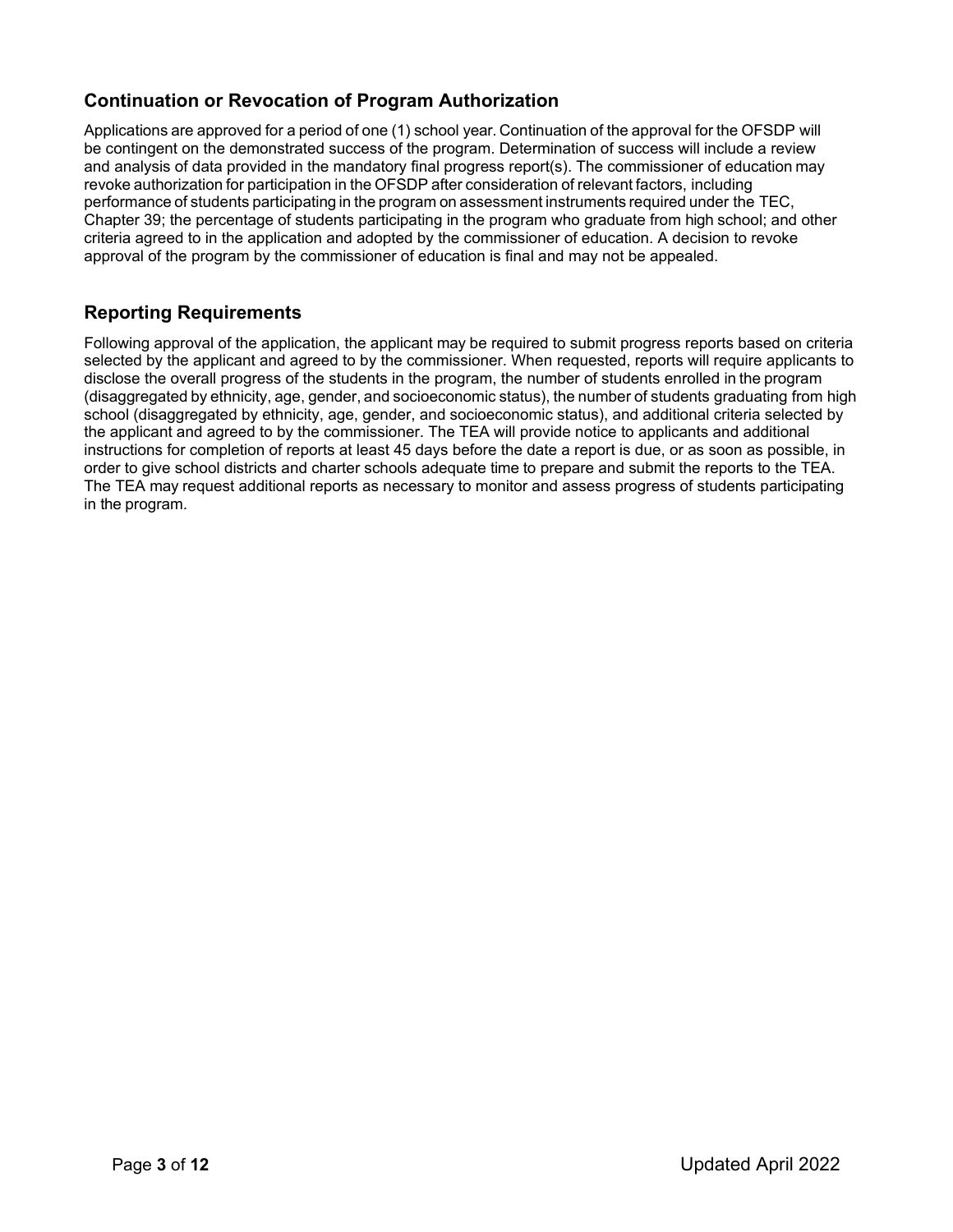### **Continuation or Revocation of Program Authorization**

Applications are approved for a period of one (1) school year. Continuation of the approval for the OFSDP will be contingent on the demonstrated success of the program. Determination of success will include a review and analysis of data provided in the mandatory final progress report(s). The commissioner of education may revoke authorization for participation in the OFSDP after consideration of relevant factors, including performance of students participating in the program on assessment instruments required under the TEC, Chapter 39; the percentage of students participating in the program who graduate from high school; and other criteria agreed to in the application and adopted by the commissioner of education. A decision to revoke approval of the program by the commissioner of education is final and may not be appealed.

#### **Reporting Requirements**

Following approval of the application, the applicant may be required to submit progress reports based on criteria selected by the applicant and agreed to by the commissioner. When requested, reports will require applicants to disclose the overall progress of the students in the program, the number of students enrolled in the program (disaggregated by ethnicity, age, gender, and socioeconomic status), the number of students graduating from high school (disaggregated by ethnicity, age, gender, and socioeconomic status), and additional criteria selected by the applicant and agreed to by the commissioner. The TEA will provide notice to applicants and additional instructions for completion of reports at least 45 days before the date a report is due, or as soon as possible, in order to give school districts and charter schools adequate time to prepare and submit the reports to the TEA. The TEA may request additional reports as necessary to monitor and assess progress of students participating in the program.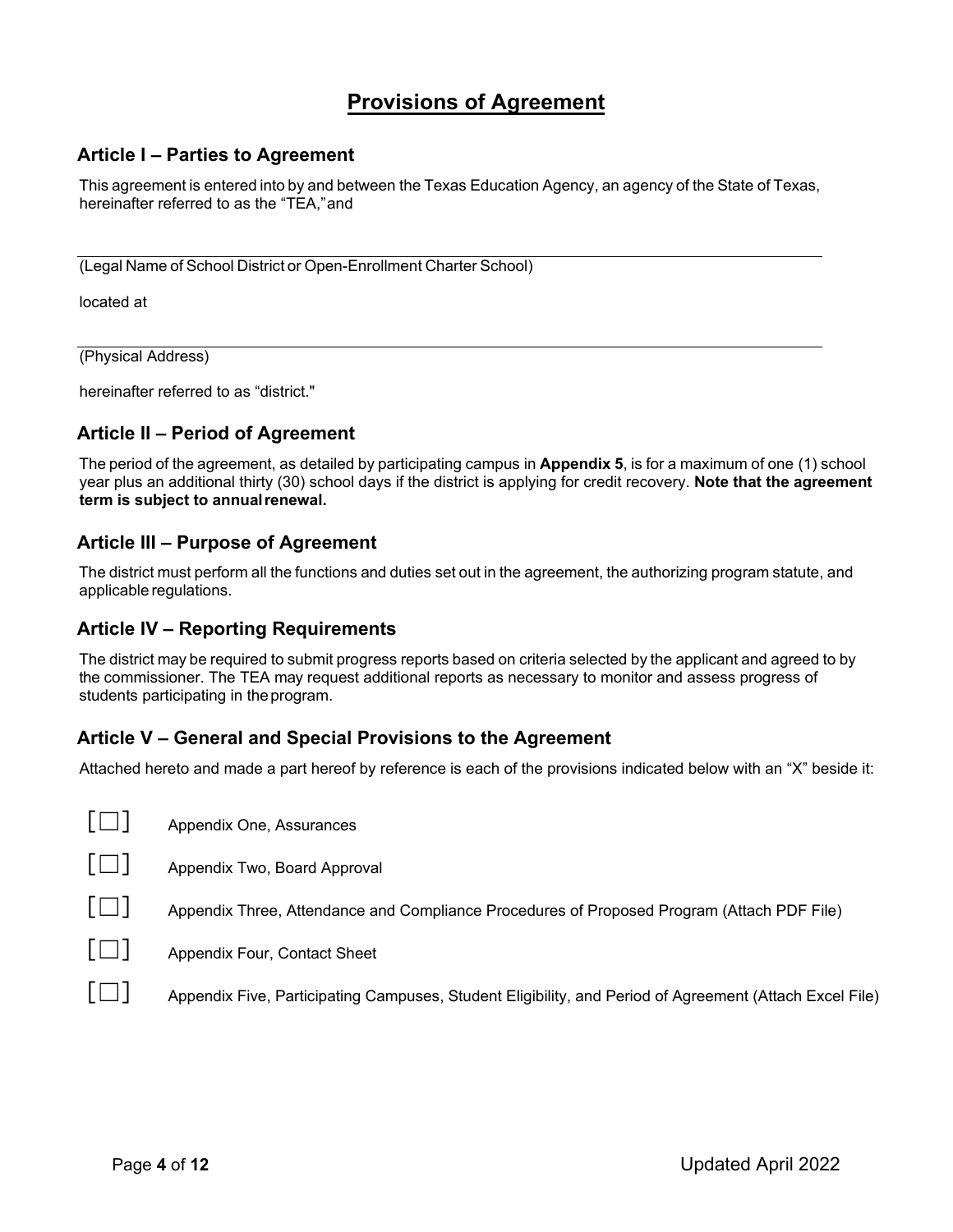## **Provisions of Agreement**

#### **Article I – Parties to Agreement**

This agreement is entered into by and between the Texas Education Agency, an agency of the State of Texas, hereinafter referred to as the "TEA,"and

(Legal Name of School District or Open-Enrollment Charter School)

located at

(Physical Address)

hereinafter referred to as "district."

#### **Article II – Period of Agreement**

The period of the agreement, as detailed by participating campus in **Appendix 5**, is for a maximum of one (1) school year plus an additional thirty (30) school days if the district is applying for credit recovery. **Note that the agreement term is subject to annualrenewal.**

#### **Article III – Purpose of Agreement**

The district must perform all the functions and duties set out in the agreement, the authorizing program statute, and applicable regulations.

#### **Article IV – Reporting Requirements**

The district may be required to submit progress reports based on criteria selected by the applicant and agreed to by the commissioner. The TEA may request additional reports as necessary to monitor and assess progress of students participating in theprogram.

#### **Article V – General and Special Provisions to the Agreement**

Attached hereto and made a part hereof by reference is each of the provisions indicated below with an "X" beside it:

|              | Appendix One, Assurances                                                                                |
|--------------|---------------------------------------------------------------------------------------------------------|
| $\mathbf{H}$ | Appendix Two, Board Approval                                                                            |
| $\Box$       | Appendix Three, Attendance and Compliance Procedures of Proposed Program (Attach PDF File)              |
| $\mathsf{F}$ | Appendix Four, Contact Sheet                                                                            |
|              | Appendix Five, Participating Campuses, Student Eligibility, and Period of Agreement (Attach Excel File) |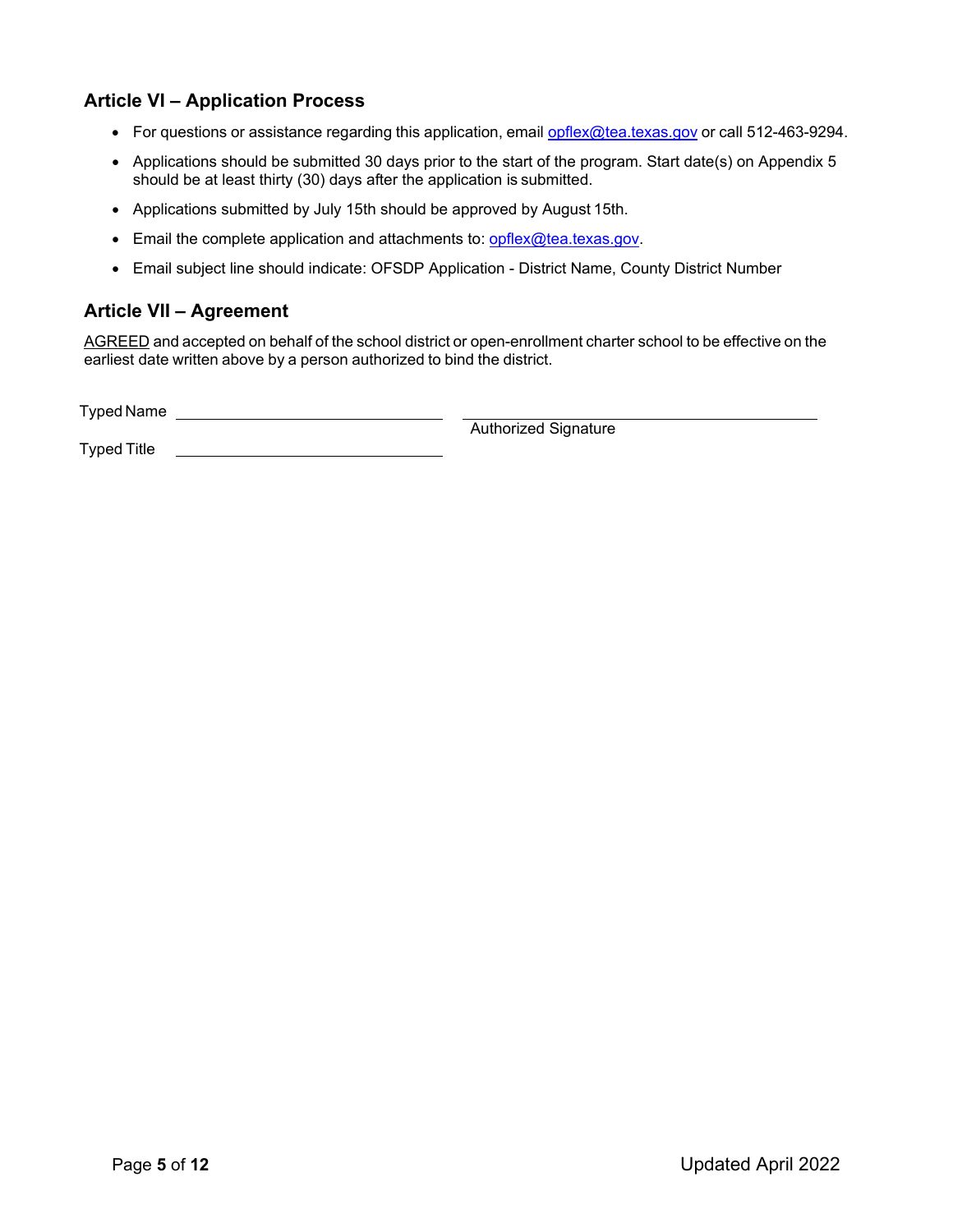#### **Article VI – Application Process**

- For questions or assistance regarding this application, email [opflex@tea.texas.gov](mailto:opflex@tea.texas.gov) or call 512-463-9294.
- Applications should be submitted 30 days prior to the start of the program. Start date(s) on Appendix 5 should be at least thirty (30) days after the application is submitted.
- Applications submitted by July 15th should be approved by August 15th.
- Email the complete application and attachments to: [opflex@tea.texas.gov.](mailto:opflex@tea.texas.gov)
- Email subject line should indicate: OFSDP Application District Name, County District Number

#### **Article VII – Agreement**

AGREED and accepted on behalf of the school district or open-enrollment charter school to be effective on the earliest date written above by a person authorized to bind the district.

Typed Name

Authorized Signature

Typed Title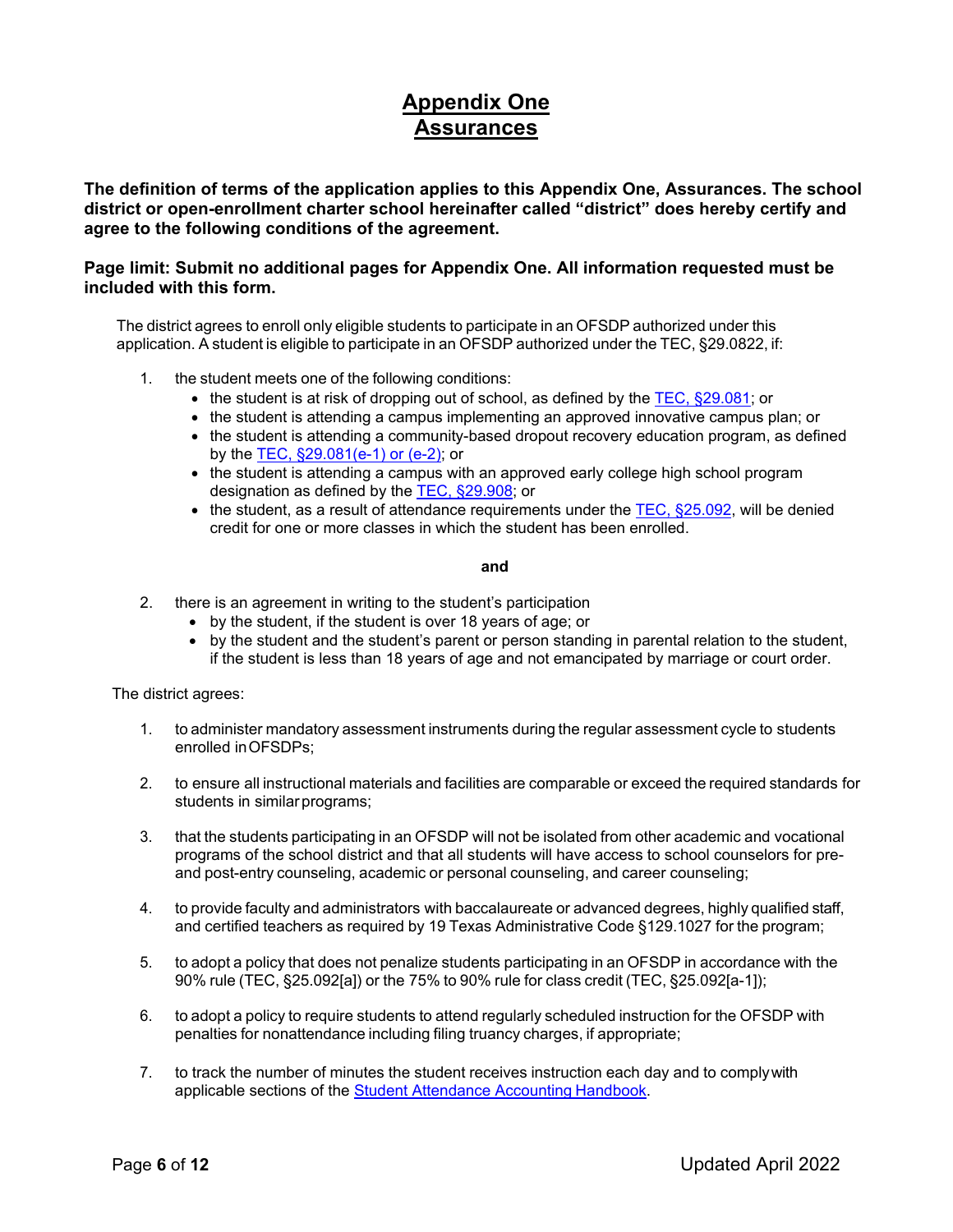## **Appendix One Assurances**

**The definition of terms of the application applies to this Appendix One, Assurances. The school district or open-enrollment charter school hereinafter called "district" does hereby certify and agree to the following conditions of the agreement.**

#### **Page limit: Submit no additional pages for Appendix One. All information requested must be included with this form.**

The district agrees to enroll only eligible students to participate in an OFSDP authorized under this application. A student is eligible to participate in an OFSDP authorized under the TEC, §29.0822, if:

- 1. the student meets one of the following conditions:
	- the student is at risk of dropping out of school, as defined by the [TEC, §29.081;](https://statutes.capitol.texas.gov/Docs/ED/htm/ED.29.htm#29.081) or
	- the student is attending a campus implementing an approved innovative campus plan; or
	- the student is attending a community-based dropout recovery education program, as defined by the [TEC, §29.081\(e-1\)](https://statutes.capitol.texas.gov/SOTWDocs/ED/htm/ED.29.htm#29.081) or (e-2); or
	- the student is attending a campus with an approved early college high school program designation as defined by the [TEC, §29.908;](https://statutes.capitol.texas.gov/Docs/ED/htm/ED.29.htm#29.908) or
	- $\bullet$  the student, as a result of attendance requirements under the TEC,  $\$25.092$ , will be denied credit for one or more classes in which the student has been enrolled.

#### **and**

- 2. there is an agreement in writing to the student's participation
	- by the student, if the student is over 18 years of age; or
	- by the student and the student's parent or person standing in parental relation to the student, if the student is less than 18 years of age and not emancipated by marriage or court order.

The district agrees:

- 1. to administer mandatory assessment instruments during the regular assessment cycle to students enrolled inOFSDPs;
- 2. to ensure all instructional materials and facilities are comparable or exceed the required standards for students in similar programs;
- 3. that the students participating in an OFSDP will not be isolated from other academic and vocational programs of the school district and that all students will have access to school counselors for preand post-entry counseling, academic or personal counseling, and career counseling;
- 4. to provide faculty and administrators with baccalaureate or advanced degrees, highly qualified staff, and certified teachers as required by 19 Texas [Administrative](https://texreg.sos.state.tx.us/public/readtac%24ext.TacPage?sl=R&%3Bapp=9&%3Bp_dir&%3Bp_rloc&%3Bp_tloc&%3Bp_ploc&%3Bpg=1&%3Bp_tac&%3Bti=19&%3Bpt=2&%3Bch=129&%3Brl=1027) Code §129.1027 for the program;
- 5. to adopt a policy that does not penalize students participating in an OFSDP in accordance with the 90% rule (TEC, §25.092[a]) or the 75% to 90% rule for class credit (TEC, §25.092[a-1]);
- 6. to adopt a policy to require students to attend regularly scheduled instruction for the OFSDP with penalties for nonattendance including filing truancy charges, if appropriate;
- 7. to track the number of minutes the student receives instruction each day and to complywith applicable sections of the [Student Attendance Accounting](https://tea.texas.gov/Finance_and_Grants/Financial_Compliance/Student__Attendance_Accounting_Handbook/) Handbook.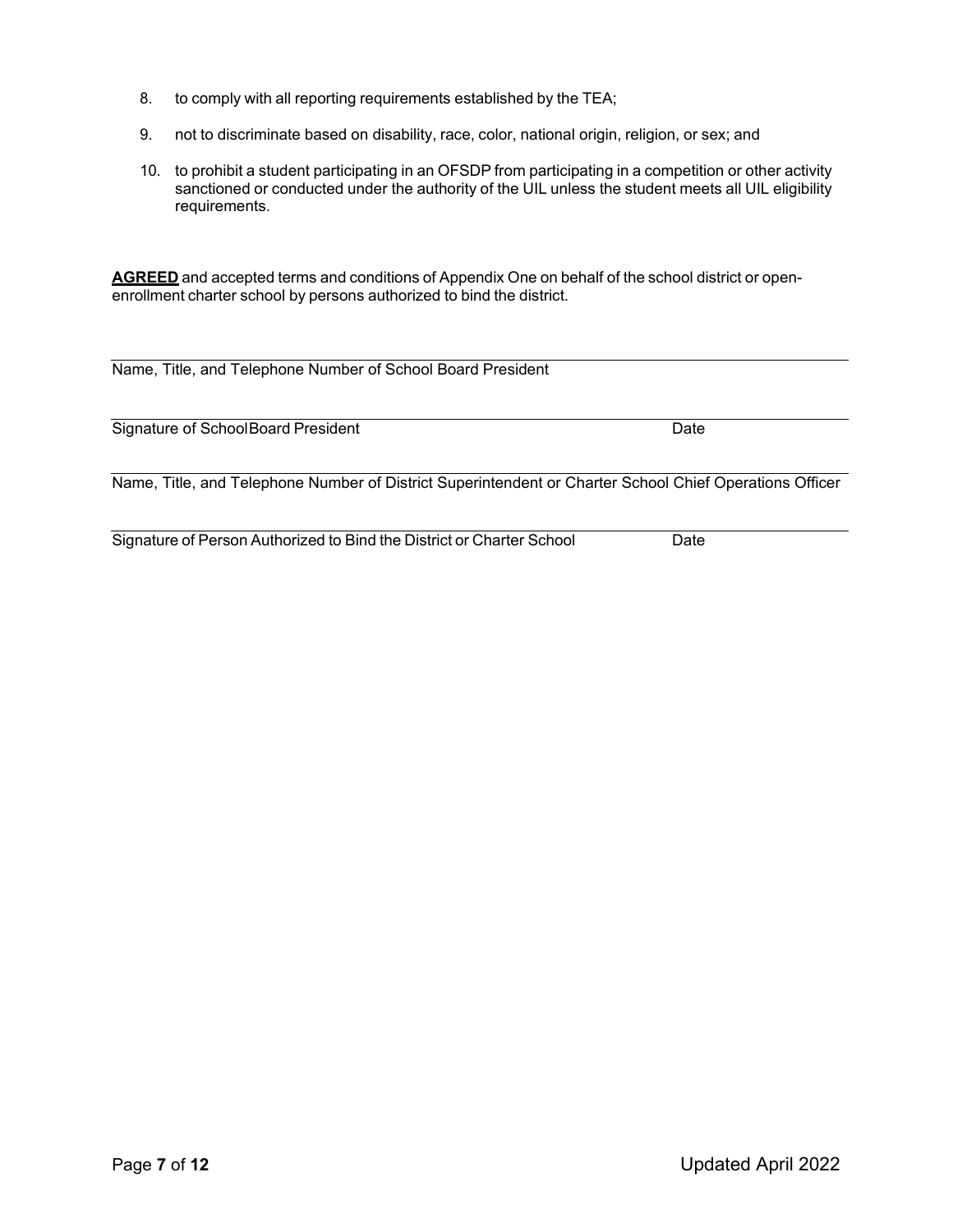- 8. to comply with all reporting requirements established by the TEA;
- 9. not to discriminate based on disability, race, color, national origin, religion, or sex; and
- 10. to prohibit a student participating in an OFSDP from participating in a competition or other activity sanctioned or conducted under the authority of the UIL unless the student meets all UIL eligibility requirements.

**AGREED** and accepted terms and conditions of Appendix One on behalf of the school district or openenrollment charter school by persons authorized to bind the district.

| Name, Title, and Telephone Number of School Board President                                             |      |
|---------------------------------------------------------------------------------------------------------|------|
| Signature of SchoolBoard President                                                                      | Date |
| Name, Title, and Telephone Number of District Superintendent or Charter School Chief Operations Officer |      |

Signature of Person Authorized to Bind the District or Charter School Date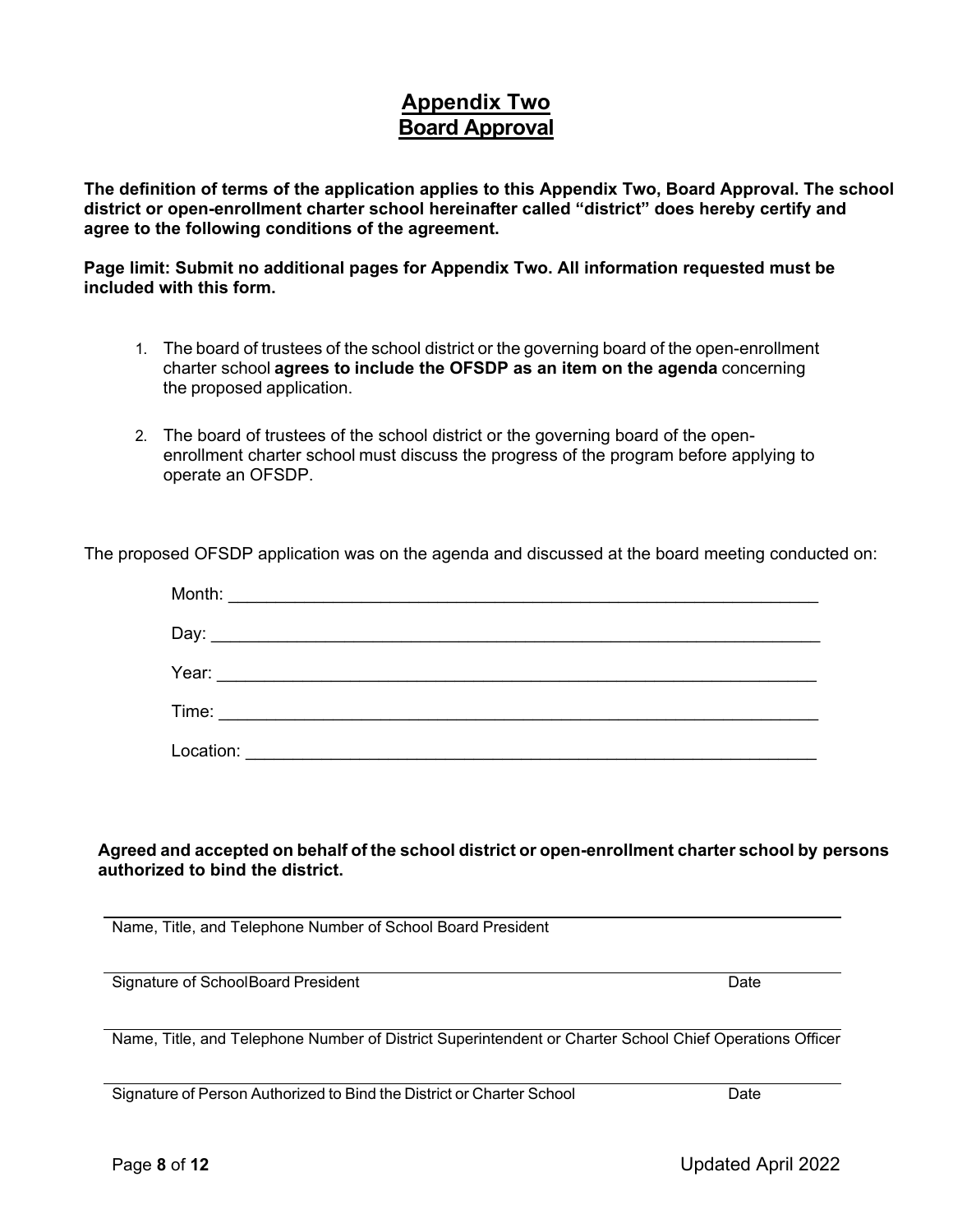## **Appendix Two Board Approval**

**The definition of terms of the application applies to this Appendix Two, Board Approval. The school district or open-enrollment charter school hereinafter called "district" does hereby certify and agree to the following conditions of the agreement.**

**Page limit: Submit no additional pages for Appendix Two. All information requested must be included with this form.**

- 1. The board of trustees of the school district or the governing board of the open-enrollment charter school **agrees to include the OFSDP as an item on the agenda** concerning the proposed application.
- 2. The board of trustees of the school district or the governing board of the openenrollment charter school must discuss the progress of the program before applying to operate an OFSDP.

The proposed OFSDP application was on the agenda and discussed at the board meeting conducted on:

| Month:    | <u> 1989 - Johann Barbara, martxa alemaniar a</u>                                                                      |  |  |
|-----------|------------------------------------------------------------------------------------------------------------------------|--|--|
|           |                                                                                                                        |  |  |
| Year:     | <u> 1989 - Andrea Barbara, política estadounidense de la propia de la propia de la propia de la propia de la propi</u> |  |  |
|           |                                                                                                                        |  |  |
| Location: |                                                                                                                        |  |  |

#### **Agreed and accepted on behalf of the school district or open-enrollment charter school by persons authorized to bind the district.**

Name, Title, and Telephone Number of School Board President

Signature of SchoolBoard President Date Date Date Date Date Date

Name, Title, and Telephone Number of District Superintendent or Charter School Chief Operations Officer

Signature of Person Authorized to Bind the District or Charter School Date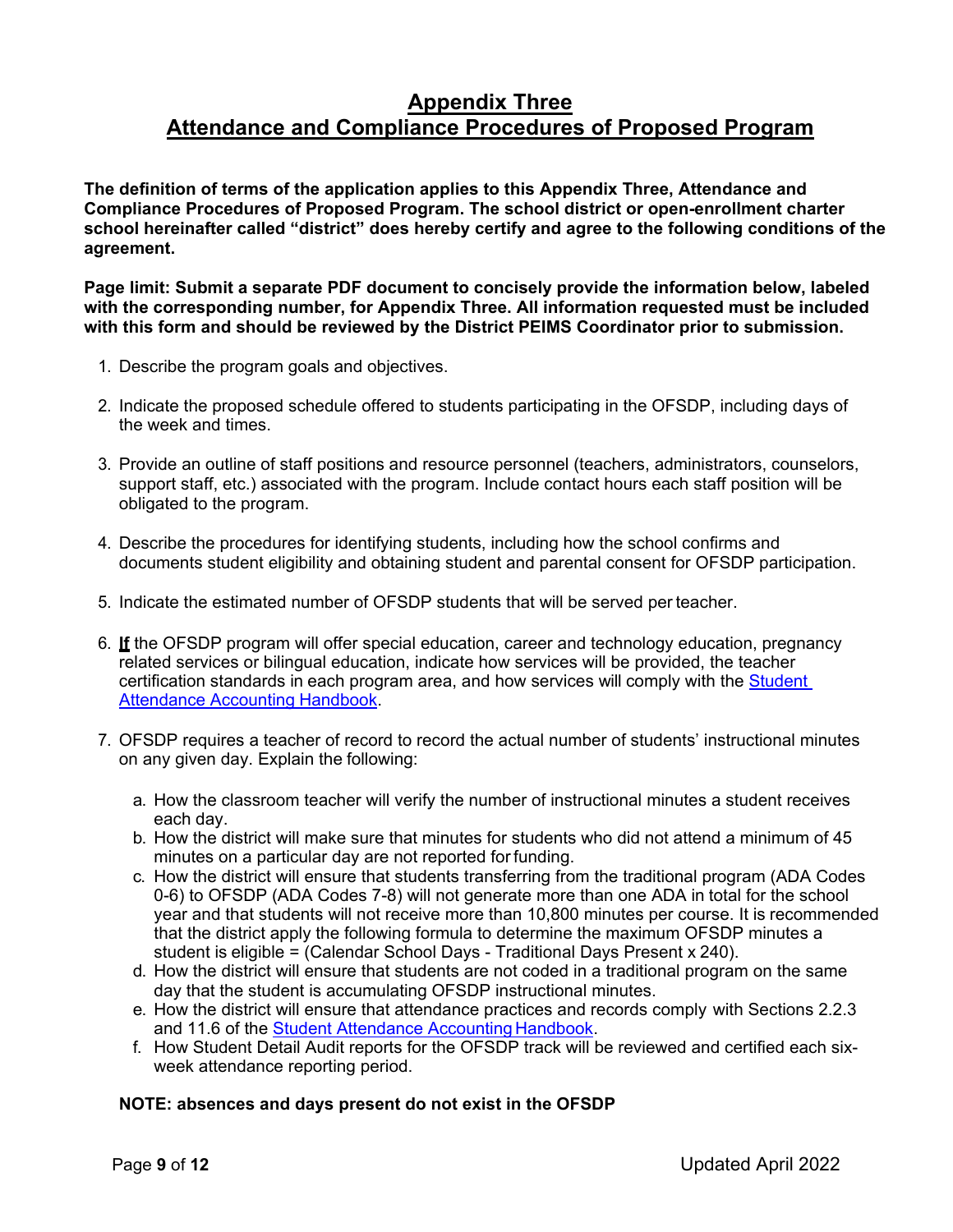## **Appendix Three Attendance and Compliance Procedures of Proposed Program**

**The definition of terms of the application applies to this Appendix Three, Attendance and Compliance Procedures of Proposed Program. The school district or open-enrollment charter school hereinafter called "district" does hereby certify and agree to the following conditions of the agreement.**

**Page limit: Submit a separate PDF document to concisely provide the information below, labeled with the corresponding number, for Appendix Three. All information requested must be included with this form and should be reviewed by the District PEIMS Coordinator prior to submission.**

- 1. Describe the program goals and objectives.
- 2. Indicate the proposed schedule offered to students participating in the OFSDP, including days of the week and times.
- 3. Provide an outline of staff positions and resource personnel (teachers, administrators, counselors, support staff, etc.) associated with the program. Include contact hours each staff position will be obligated to the program.
- 4. Describe the procedures for identifying students, including how the school confirms and documents student eligibility and obtaining student and parental consent for OFSDP participation.
- 5. Indicate the estimated number of OFSDP students that will be served per teacher.
- 6. **If** the OFSDP program will offer special education, career and technology education, pregnancy related services or bilingual education, indicate how services will be provided, the teacher certification standards in each program area, and how services will comply with the [Student](https://tea.texas.gov/Finance_and_Grants/Financial_Compliance/Student__Attendance_Accounting_Handbook/)  [Attendance Accounting](https://tea.texas.gov/Finance_and_Grants/Financial_Compliance/Student__Attendance_Accounting_Handbook/) Handbook.
- 7. OFSDP requires a teacher of record to record the actual number of students' instructional minutes on any given day. Explain the following:
	- a. How the classroom teacher will verify the number of instructional minutes a student receives each day.
	- b. How the district will make sure that minutes for students who did not attend a minimum of 45 minutes on a particular day are not reported for funding.
	- c. How the district will ensure that students transferring from the traditional program (ADA Codes 0-6) to OFSDP (ADA Codes 7-8) will not generate more than one ADA in total for the school year and that students will not receive more than 10,800 minutes per course. It is recommended that the district apply the following formula to determine the maximum OFSDP minutes a student is eligible = (Calendar School Days - Traditional Days Present x 240).
	- d. How the district will ensure that students are not coded in a traditional program on the same day that the student is accumulating OFSDP instructional minutes.
	- e. How the district will ensure that attendance practices and records comply with Sections 2.2.3 and 11.6 of the [Student Attendance Accounting](https://tea.texas.gov/Finance_and_Grants/Financial_Compliance/Student__Attendance_Accounting_Handbook/) Handbook.
	- f. How Student Detail Audit reports for the OFSDP track will be reviewed and certified each sixweek attendance reporting period.

#### **NOTE: absences and days present do not exist in the OFSDP**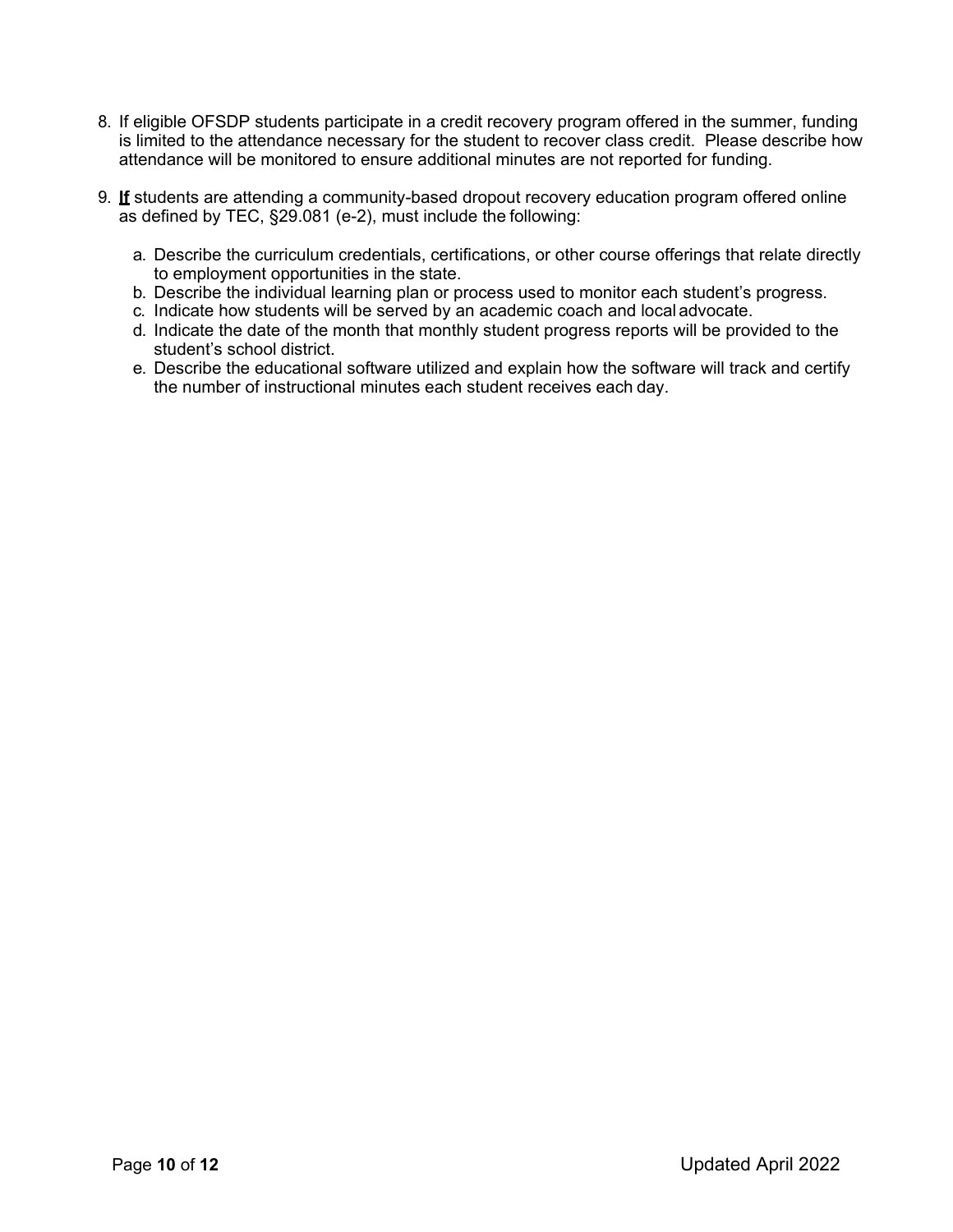- 8. If eligible OFSDP students participate in a credit recovery program offered in the summer, funding is limited to the attendance necessary for the student to recover class credit. Please describe how attendance will be monitored to ensure additional minutes are not reported for funding.
- 9. **If** students are attending a community-based dropout recovery education program offered online as defined by TEC, §29.081 (e-2), must include the following:
	- a. Describe the curriculum credentials, certifications, or other course offerings that relate directly to employment opportunities in the state.
	- b. Describe the individual learning plan or process used to monitor each student's progress.
	- c. Indicate how students will be served by an academic coach and local advocate.
	- d. Indicate the date of the month that monthly student progress reports will be provided to the student's school district.
	- e. Describe the educational software utilized and explain how the software will track and certify the number of instructional minutes each student receives each day.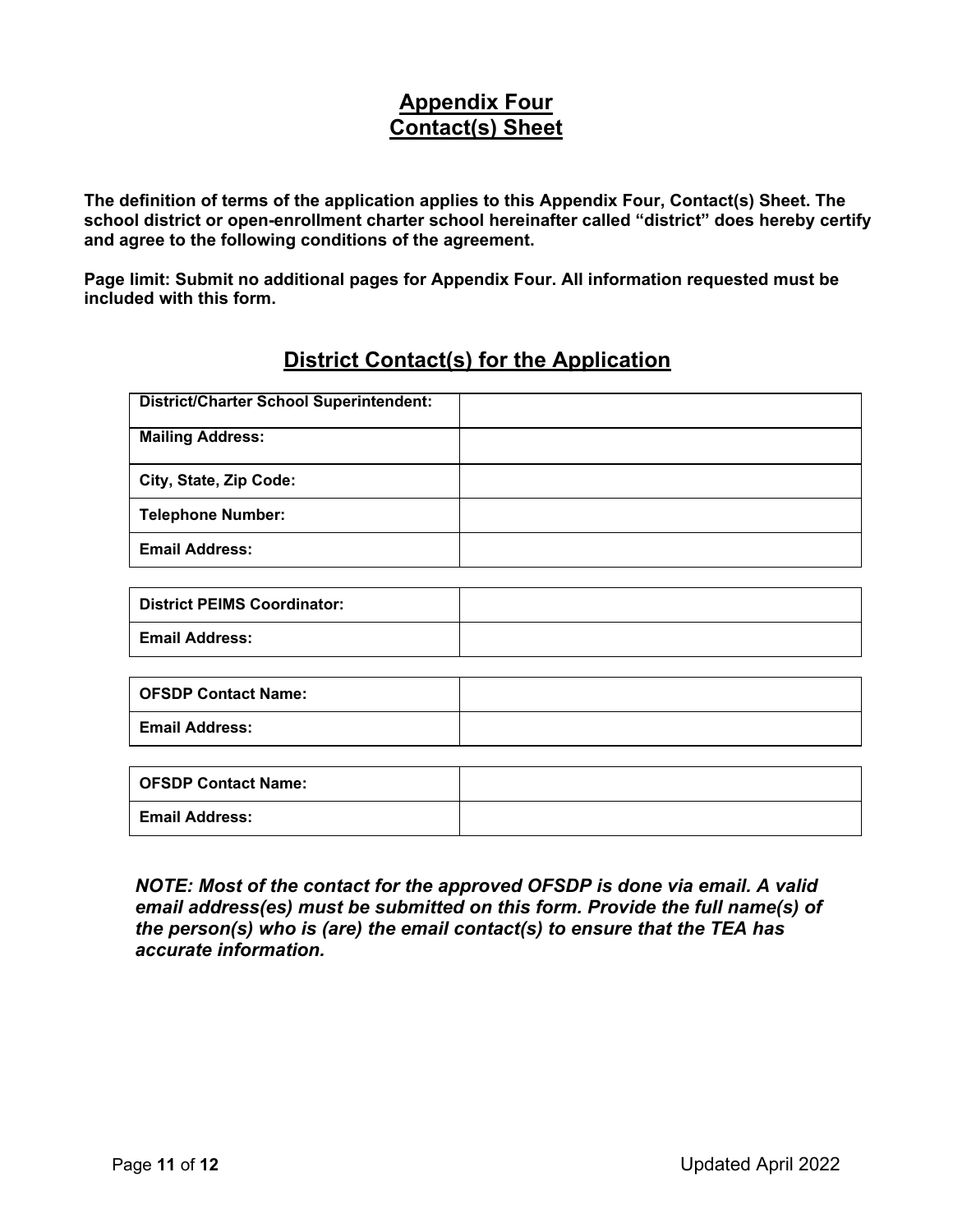## **Appendix Four Contact(s) Sheet**

**The definition of terms of the application applies to this Appendix Four, Contact(s) Sheet. The school district or open-enrollment charter school hereinafter called "district" does hereby certify and agree to the following conditions of the agreement.**

**Page limit: Submit no additional pages for Appendix Four. All information requested must be included with this form.**

## **District Contact(s) for the Application**

| <b>District/Charter School Superintendent:</b> |  |
|------------------------------------------------|--|
| <b>Mailing Address:</b>                        |  |
| City, State, Zip Code:                         |  |
| <b>Telephone Number:</b>                       |  |
| <b>Email Address:</b>                          |  |

| <b>District PEIMS Coordinator:</b> |  |
|------------------------------------|--|
| <b>Email Address:</b>              |  |

| <b>OFSDP Contact Name:</b> |  |
|----------------------------|--|
| <b>Email Address:</b>      |  |

| <b>OFSDP Contact Name:</b> |  |
|----------------------------|--|
| <b>Email Address:</b>      |  |

*NOTE: Most of the contact for the approved OFSDP is done via email. A valid email address(es) must be submitted on this form. Provide the full name(s) of the person(s) who is (are) the email contact(s) to ensure that the TEA has accurate information.*